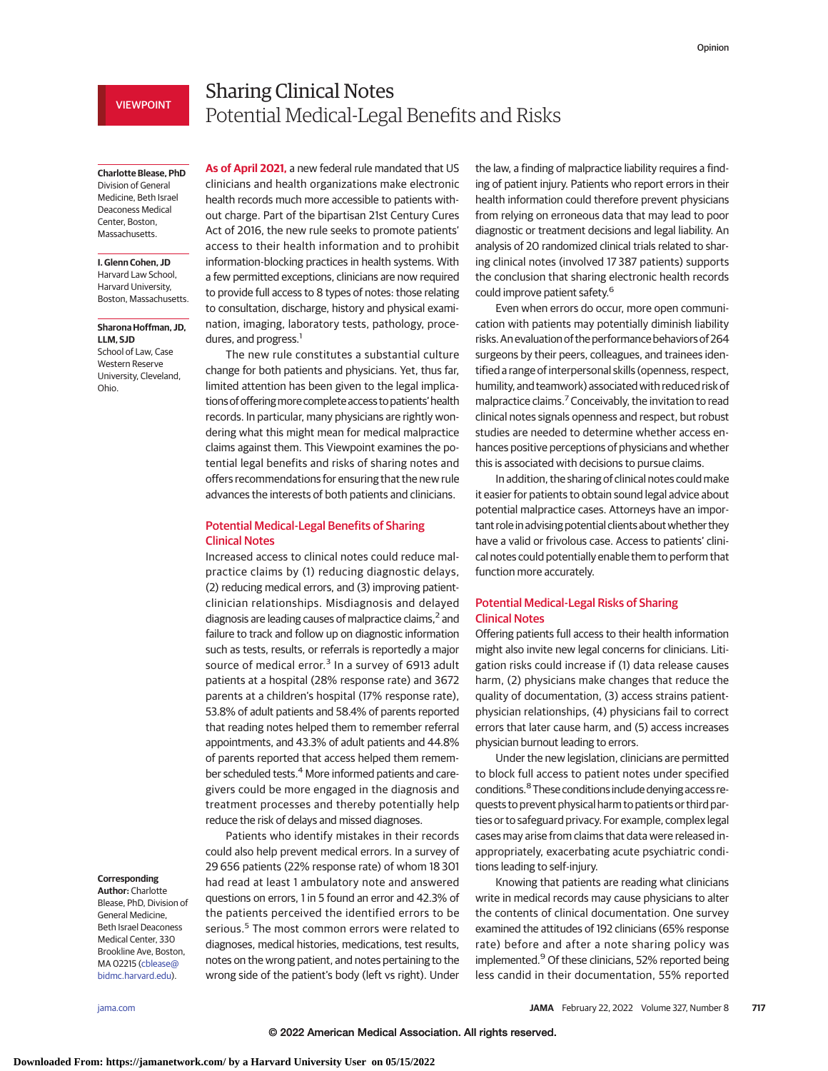# VIEWPOINT

# Sharing Clinical Notes Potential Medical-Legal Benefits and Risks

**Charlotte Blease, PhD** Division of General Medicine, Beth Israel Deaconess Medical Center, Boston, Massachusetts.

## **I. Glenn Cohen, JD**

Harvard Law School, Harvard University, Boston, Massachusetts.

#### **Sharona Hoffman, JD, LLM, SJD**

School of Law, Case Western Reserve University, Cleveland, Ohio.

**As of April 2021,** a new federal rule mandated that US clinicians and health organizations make electronic health records much more accessible to patients without charge. Part of the bipartisan 21st Century Cures Act of 2016, the new rule seeks to promote patients' access to their health information and to prohibit information-blocking practices in health systems. With a few permitted exceptions, clinicians are now required to provide full access to 8 types of notes: those relating to consultation, discharge, history and physical examination, imaging, laboratory tests, pathology, procedures, and progress.<sup>1</sup>

The new rule constitutes a substantial culture change for both patients and physicians. Yet, thus far, limited attention has been given to the legal implications of offering more complete access to patients' health records. In particular, many physicians are rightly wondering what this might mean for medical malpractice claims against them. This Viewpoint examines the potential legal benefits and risks of sharing notes and offers recommendations for ensuring that the new rule advances the interests of both patients and clinicians.

## Potential Medical-Legal Benefits of Sharing Clinical Notes

Increased access to clinical notes could reduce malpractice claims by (1) reducing diagnostic delays, (2) reducing medical errors, and (3) improving patientclinician relationships. Misdiagnosis and delayed diagnosis are leading causes of malpractice claims,<sup>2</sup> and failure to track and follow up on diagnostic information such as tests, results, or referrals is reportedly a major source of medical error. $3$  In a survey of 6913 adult patients at a hospital (28% response rate) and 3672 parents at a children's hospital (17% response rate), 53.8% of adult patients and 58.4% of parents reported that reading notes helped them to remember referral appointments, and 43.3% of adult patients and 44.8% of parents reported that access helped them remember scheduled tests.<sup>4</sup> More informed patients and caregivers could be more engaged in the diagnosis and treatment processes and thereby potentially help reduce the risk of delays and missed diagnoses.

Patients who identify mistakes in their records could also help prevent medical errors. In a survey of 29 656 patients (22% response rate) of whom 18 301 had read at least 1 ambulatory note and answered questions on errors, 1 in 5 found an error and 42.3% of the patients perceived the identified errors to be serious.<sup>5</sup> The most common errors were related to diagnoses, medical histories, medications, test results, notes on the wrong patient, and notes pertaining to the wrong side of the patient's body (left vs right). Under

the law, a finding of malpractice liability requires a finding of patient injury. Patients who report errors in their health information could therefore prevent physicians from relying on erroneous data that may lead to poor diagnostic or treatment decisions and legal liability. An analysis of 20 randomized clinical trials related to sharing clinical notes (involved 17 387 patients) supports the conclusion that sharing electronic health records could improve patient safety.6

Even when errors do occur, more open communication with patients may potentially diminish liability risks. Anevaluation of the performance behaviors of 264 surgeons by their peers, colleagues, and trainees identified a range of interpersonal skills (openness, respect, humility, and teamwork) associated with reduced risk of malpractice claims.<sup>7</sup> Conceivably, the invitation to read clinical notes signals openness and respect, but robust studies are needed to determine whether access enhances positive perceptions of physicians and whether this is associated with decisions to pursue claims.

In addition, the sharing of clinical notes could make it easier for patients to obtain sound legal advice about potential malpractice cases. Attorneys have an important role in advising potential clients about whether they have a valid or frivolous case. Access to patients' clinical notes could potentially enable them to perform that function more accurately.

# Potential Medical-Legal Risks of Sharing Clinical Notes

Offering patients full access to their health information might also invite new legal concerns for clinicians. Litigation risks could increase if (1) data release causes harm, (2) physicians make changes that reduce the quality of documentation, (3) access strains patientphysician relationships, (4) physicians fail to correct errors that later cause harm, and (5) access increases physician burnout leading to errors.

Under the new legislation, clinicians are permitted to block full access to patient notes under specified conditions.8 These conditions include denying access requests to prevent physical harm to patients or third parties or to safeguard privacy. For example, complex legal cases may arise from claims that data were released inappropriately, exacerbating acute psychiatric conditions leading to self-injury.

Knowing that patients are reading what clinicians write in medical records may cause physicians to alter the contents of clinical documentation. One survey examined the attitudes of 192 clinicians (65% response rate) before and after a note sharing policy was implemented.<sup>9</sup> Of these clinicians, 52% reported being less candid in their documentation, 55% reported

#### **Corresponding Author:** Charlotte

Blease, PhD, Division of General Medicine, Beth Israel Deaconess Medical Center, 330 Brookline Ave, Boston, MA 02215 [\(cblease@](mailto:cblease@bidmc.harvard.edu) [bidmc.harvard.edu\)](mailto:cblease@bidmc.harvard.edu).